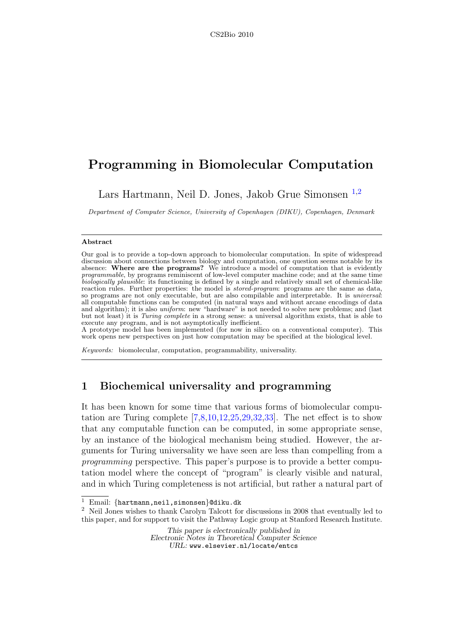# Programming in Biomolecular Computation

Lars Hartmann, Neil D. Jones, Jakob Grue Simonsen <sup>[1](#page-0-0),[2](#page-0-0)</sup>

<span id="page-0-0"></span>Department of Computer Science, University of Copenhagen (DIKU), Copenhagen, Denmark

#### Abstract

Our goal is to provide a top-down approach to biomolecular computation. In spite of widespread discussion about connections between biology and computation, one question seems notable by its absence: Where are the programs? We introduce a model of computation that is evidently programmable, by programs reminiscent of low-level computer machine code; and at the same time biologically plausible: its functioning is defined by a single and relatively small set of chemical-like reaction rules. Further properties: the model is *stored-program*: programs are the same as data, so programs are not only executable, but are also compilable and interpretable. It is *universal*: all computable functions can be computed (in natural ways and without arcane encodings of data and algorithm); it is also *uniform*: new "hardware" is not needed to solve new problems; and (last but not least) it is Turing complete in a strong sense: a universal algorithm exists, that is able to execute any program, and is not asymptotically inefficient.

A prototype model has been implemented (for now in silico on a conventional computer). This work opens new perspectives on just how computation may be specified at the biological level.

Keywords: biomolecular, computation, programmability, universality.

## 1 Biochemical universality and programming

It has been known for some time that various forms of biomolecular computation are Turing complete  $[7,8,10,12,25,29,32,33]$  $[7,8,10,12,25,29,32,33]$  $[7,8,10,12,25,29,32,33]$  $[7,8,10,12,25,29,32,33]$  $[7,8,10,12,25,29,32,33]$  $[7,8,10,12,25,29,32,33]$  $[7,8,10,12,25,29,32,33]$  $[7,8,10,12,25,29,32,33]$ . The net effect is to show that any computable function can be computed, in some appropriate sense, by an instance of the biological mechanism being studied. However, the arguments for Turing universality we have seen are less than compelling from a programming perspective. This paper's purpose is to provide a better computation model where the concept of "program" is clearly visible and natural, and in which Turing completeness is not artificial, but rather a natural part of

<sup>&</sup>lt;sup>1</sup> Email: {hartmann,neil,simonsen}@diku.dk

<sup>2</sup> Neil Jones wishes to thank Carolyn Talcott for discussions in 2008 that eventually led to this paper, and for support to visit the Pathway Logic group at Stanford Research Institute.

This paper is electronically published in Electronic Notes in Theoretical Computer Science URL: www.elsevier.nl/locate/entcs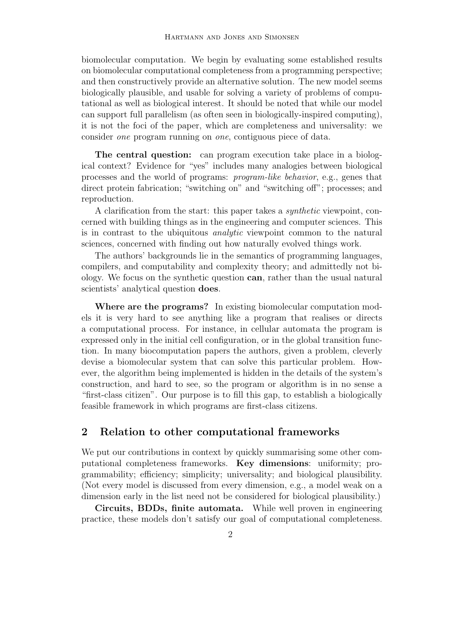biomolecular computation. We begin by evaluating some established results on biomolecular computational completeness from a programming perspective; and then constructively provide an alternative solution. The new model seems biologically plausible, and usable for solving a variety of problems of computational as well as biological interest. It should be noted that while our model can support full parallelism (as often seen in biologically-inspired computing), it is not the foci of the paper, which are completeness and universality: we consider one program running on one, contiguous piece of data.

The central question: can program execution take place in a biological context? Evidence for "yes" includes many analogies between biological processes and the world of programs: program-like behavior, e.g., genes that direct protein fabrication; "switching on" and "switching off"; processes; and reproduction.

A clarification from the start: this paper takes a synthetic viewpoint, concerned with building things as in the engineering and computer sciences. This is in contrast to the ubiquitous analytic viewpoint common to the natural sciences, concerned with finding out how naturally evolved things work.

The authors' backgrounds lie in the semantics of programming languages, compilers, and computability and complexity theory; and admittedly not biology. We focus on the synthetic question can, rather than the usual natural scientists' analytical question does.

Where are the programs? In existing biomolecular computation models it is very hard to see anything like a program that realises or directs a computational process. For instance, in cellular automata the program is expressed only in the initial cell configuration, or in the global transition function. In many biocomputation papers the authors, given a problem, cleverly devise a biomolecular system that can solve this particular problem. However, the algorithm being implemented is hidden in the details of the system's construction, and hard to see, so the program or algorithm is in no sense a "first-class citizen". Our purpose is to fill this gap, to establish a biologically feasible framework in which programs are first-class citizens.

### 2 Relation to other computational frameworks

We put our contributions in context by quickly summarising some other computational completeness frameworks. Key dimensions: uniformity; programmability; efficiency; simplicity; universality; and biological plausibility. (Not every model is discussed from every dimension, e.g., a model weak on a dimension early in the list need not be considered for biological plausibility.)

Circuits, BDDs, finite automata. While well proven in engineering practice, these models don't satisfy our goal of computational completeness.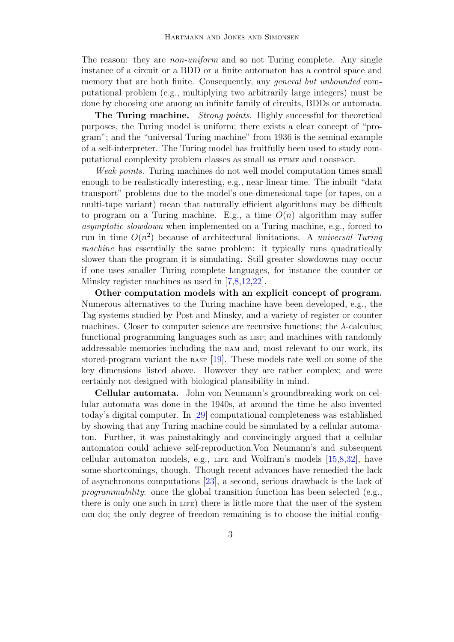The reason: they are *non-uniform* and so not Turing complete. Any single instance of a circuit or a BDD or a finite automaton has a control space and memory that are both finite. Consequently, any *general but unbounded* computational problem (e.g., multiplying two arbitrarily large integers) must be done by choosing one among an infinite family of circuits, BDDs or automata.

The Turing machine. Strong points. Highly successful for theoretical purposes, the Turing model is uniform; there exists a clear concept of "program"; and the "universal Turing machine" from 1936 is the seminal example of a self-interpreter. The Turing model has fruitfully been used to study computational complexity problem classes as small as PTIME and LOGSPACE.

Weak points. Turing machines do not well model computation times small enough to be realistically interesting, e.g., near-linear time. The inbuilt "data transport" problems due to the model's one-dimensional tape (or tapes, on a multi-tape variant) mean that naturally efficient algorithms may be difficult to program on a Turing machine. E.g., a time  $O(n)$  algorithm may suffer asymptotic slowdown when implemented on a Turing machine, e.g., forced to run in time  $O(n^2)$  because of architectural limitations. A universal Turing machine has essentially the same problem: it typically runs quadratically slower than the program it is simulating. Still greater slowdowns may occur if one uses smaller Turing complete languages, for instance the counter or Minsky register machines as used in [\[7](#page-13-0)[,8,](#page-13-1)[12,](#page-13-3)[22\]](#page-14-4).

Other computation models with an explicit concept of program. Numerous alternatives to the Turing machine have been developed, e.g., the Tag systems studied by Post and Minsky, and a variety of register or counter machines. Closer to computer science are recursive functions; the  $\lambda$ -calculus; functional programming languages such as LISP; and machines with randomly addressable memories including the ram and, most relevant to our work, its stored-program variant the rasp [\[19\]](#page-13-4). These models rate well on some of the key dimensions listed above. However they are rather complex; and were certainly not designed with biological plausibility in mind.

Cellular automata. John von Neumann's groundbreaking work on cellular automata was done in the 1940s, at around the time he also invented today's digital computer. In [\[29\]](#page-14-1) computational completeness was established by showing that any Turing machine could be simulated by a cellular automaton. Further, it was painstakingly and convincingly argued that a cellular automaton could achieve self-reproduction.Von Neumann's and subsequent cellular automaton models, e.g., life and Wolfram's models [\[15](#page-13-5)[,8](#page-13-1)[,32\]](#page-14-2), have some shortcomings, though. Though recent advances have remedied the lack of asynchronous computations [\[23\]](#page-14-5), a second, serious drawback is the lack of programmability: once the global transition function has been selected (e.g., there is only one such in life) there is little more that the user of the system can do; the only degree of freedom remaining is to choose the initial config-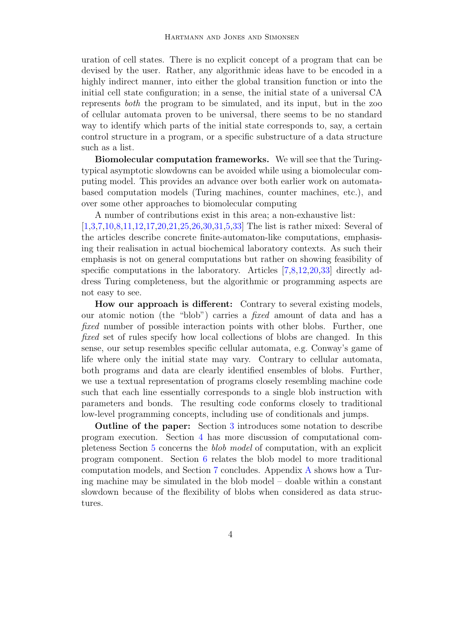uration of cell states. There is no explicit concept of a program that can be devised by the user. Rather, any algorithmic ideas have to be encoded in a highly indirect manner, into either the global transition function or into the initial cell state configuration; in a sense, the initial state of a universal CA represents both the program to be simulated, and its input, but in the zoo of cellular automata proven to be universal, there seems to be no standard way to identify which parts of the initial state corresponds to, say, a certain control structure in a program, or a specific substructure of a data structure such as a list.

Biomolecular computation frameworks. We will see that the Turingtypical asymptotic slowdowns can be avoided while using a biomolecular computing model. This provides an advance over both earlier work on automatabased computation models (Turing machines, counter machines, etc.), and over some other approaches to biomolecular computing

A number of contributions exist in this area; a non-exhaustive list: [\[1](#page-13-6)[,3](#page-13-7)[,7](#page-13-0)[,10](#page-13-2)[,8,](#page-13-1)[11](#page-13-8)[,12](#page-13-3)[,17](#page-13-9)[,20](#page-13-10)[,21](#page-14-6)[,25,](#page-14-0)[26,](#page-14-7)[30,](#page-14-8)[31,](#page-14-9)[5,](#page-13-11)[33\]](#page-14-3) The list is rather mixed: Several of the articles describe concrete finite-automaton-like computations, emphasising their realisation in actual biochemical laboratory contexts. As such their emphasis is not on general computations but rather on showing feasibility of specific computations in the laboratory. Articles [\[7,](#page-13-0)[8,](#page-13-1)[12,](#page-13-3)[20,](#page-13-10)[33\]](#page-14-3) directly address Turing completeness, but the algorithmic or programming aspects are not easy to see.

How our approach is different: Contrary to several existing models, our atomic notion (the "blob") carries a fixed amount of data and has a fixed number of possible interaction points with other blobs. Further, one fixed set of rules specify how local collections of blobs are changed. In this sense, our setup resembles specific cellular automata, e.g. Conway's game of life where only the initial state may vary. Contrary to cellular automata, both programs and data are clearly identified ensembles of blobs. Further, we use a textual representation of programs closely resembling machine code such that each line essentially corresponds to a single blob instruction with parameters and bonds. The resulting code conforms closely to traditional low-level programming concepts, including use of conditionals and jumps.

Outline of the paper: Section [3](#page-4-0) introduces some notation to describe program execution. Section [4](#page-4-1) has more discussion of computational completeness Section [5](#page-5-0) concerns the blob model of computation, with an explicit program component. Section [6](#page-9-0) relates the blob model to more traditional computation models, and Section [7](#page-12-0) concludes. Appendix [A](#page-15-0) shows how a Turing machine may be simulated in the blob model – doable within a constant slowdown because of the flexibility of blobs when considered as data structures.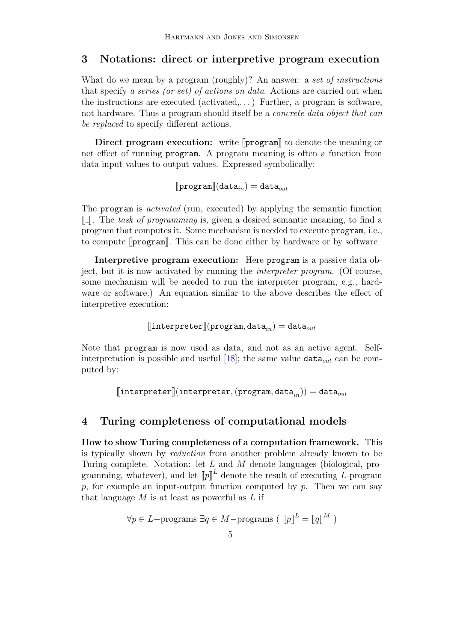### <span id="page-4-0"></span>3 Notations: direct or interpretive program execution

What do we mean by a program (roughly)? An answer: a set of instructions that specify a series (or set) of actions on data. Actions are carried out when the instructions are executed (activated,...) Further, a program is software, not hardware. Thus a program should itself be a *concrete data object that can* be replaced to specify different actions.

Direct program execution: write  $\lceil \frac{\text{program}}{\text{topram}} \rceil$  to denote the meaning or net effect of running program. A program meaning is often a function from data input values to output values. Expressed symbolically:

 $[\n [program]](data_{in}) = data_{out}$ 

The program is *activated* (run, executed) by applying the semantic function  $\llbracket \cdot \rrbracket$ . The task of programming is, given a desired semantic meaning, to find a program that computes it. Some mechanism is needed to execute program, i.e., to compute [[program]]. This can be done either by hardware or by software

Interpretive program execution: Here program is a passive data object, but it is now activated by running the interpreter program. (Of course, some mechanism will be needed to run the interpreter program, e.g., hardware or software.) An equation similar to the above describes the effect of interpretive execution:

$$
[\![\texttt{interpreter}]\!](\texttt{program},\texttt{data}_{in}) = \texttt{data}_{out}
$$

Note that program is now used as data, and not as an active agent. Self-interpretation is possible and useful [\[18\]](#page-13-12); the same value  $data_{out}$  can be computed by:

 $[\![\texttt{interpreter}]\!] \big(\texttt{interpreter},(\texttt{program},\texttt{data}_{in})\big) = \texttt{data}_{out}$ 

## <span id="page-4-1"></span>4 Turing completeness of computational models

How to show Turing completeness of a computation framework. This is typically shown by reduction from another problem already known to be Turing complete. Notation: let  $L$  and  $M$  denote languages (biological, programming, whatever), and let  $[\![p]\!]^L$  denote the result of executing L-program p, for example an input-output function computed by  $p$ . Then we can say that language  $M$  is at least as powerful as  $L$  if

$$
\forall p \in L-\text{programs } \exists q \in M-\text{programs } (\llbracket p \rrbracket^L = \llbracket q \rrbracket^M)
$$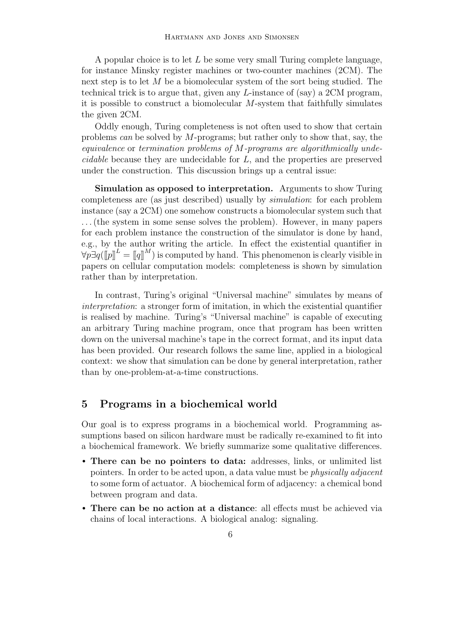A popular choice is to let  $L$  be some very small Turing complete language, for instance Minsky register machines or two-counter machines (2CM). The next step is to let M be a biomolecular system of the sort being studied. The technical trick is to argue that, given any L-instance of (say) a 2CM program, it is possible to construct a biomolecular M-system that faithfully simulates the given 2CM.

Oddly enough, Turing completeness is not often used to show that certain problems can be solved by  $M$ -programs; but rather only to show that, say, the equivalence or termination problems of M-programs are algorithmically undecidable because they are undecidable for L, and the properties are preserved under the construction. This discussion brings up a central issue:

Simulation as opposed to interpretation. Arguments to show Turing completeness are (as just described) usually by simulation: for each problem instance (say a 2CM) one somehow constructs a biomolecular system such that . . . (the system in some sense solves the problem). However, in many papers for each problem instance the construction of the simulator is done by hand, e.g., by the author writing the article. In effect the existential quantifier in  $\forall p \exists q (\llbracket p \rrbracket^L = \llbracket q \rrbracket^M)$  is computed by hand. This phenomenon is clearly visible in papers on cellular computation models: completeness is shown by simulation rather than by interpretation.

In contrast, Turing's original "Universal machine" simulates by means of interpretation: a stronger form of imitation, in which the existential quantifier is realised by machine. Turing's "Universal machine" is capable of executing an arbitrary Turing machine program, once that program has been written down on the universal machine's tape in the correct format, and its input data has been provided. Our research follows the same line, applied in a biological context: we show that simulation can be done by general interpretation, rather than by one-problem-at-a-time constructions.

### <span id="page-5-0"></span>5 Programs in a biochemical world

Our goal is to express programs in a biochemical world. Programming assumptions based on silicon hardware must be radically re-examined to fit into a biochemical framework. We briefly summarize some qualitative differences.

- There can be no pointers to data: addresses, links, or unlimited list pointers. In order to be acted upon, a data value must be physically adjacent to some form of actuator. A biochemical form of adjacency: a chemical bond between program and data.
- There can be no action at a distance: all effects must be achieved via chains of local interactions. A biological analog: signaling.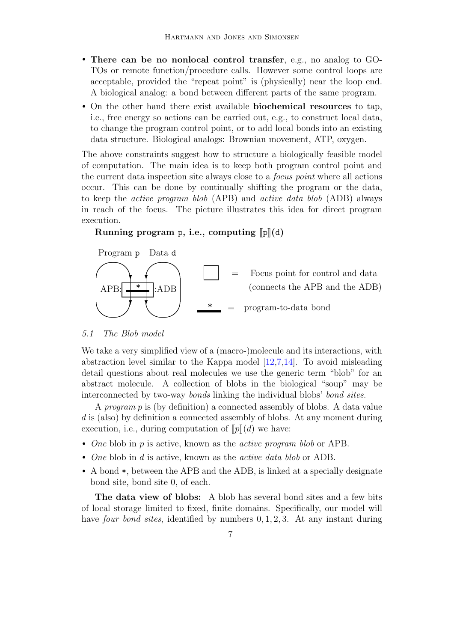- There can be no nonlocal control transfer, e.g., no analog to GO-TOs or remote function/procedure calls. However some control loops are acceptable, provided the "repeat point" is (physically) near the loop end. A biological analog: a bond between different parts of the same program.
- On the other hand there exist available biochemical resources to tap, i.e., free energy so actions can be carried out, e.g., to construct local data, to change the program control point, or to add local bonds into an existing data structure. Biological analogs: Brownian movement, ATP, oxygen.

The above constraints suggest how to structure a biologically feasible model of computation. The main idea is to keep both program control point and the current data inspection site always close to a focus point where all actions occur. This can be done by continually shifting the program or the data, to keep the active program blob (APB) and active data blob (ADB) always in reach of the focus. The picture illustrates this idea for direct program execution.

Running program p, i.e., computing  $[\![p]\!]$  $(d)$ 



#### 5.1 The Blob model

We take a very simplified view of a (macro-)molecule and its interactions, with abstraction level similar to the Kappa model  $[12,7,14]$  $[12,7,14]$  $[12,7,14]$ . To avoid misleading detail questions about real molecules we use the generic term "blob" for an abstract molecule. A collection of blobs in the biological "soup" may be interconnected by two-way bonds linking the individual blobs' bond sites.

A program p is (by definition) a connected assembly of blobs. A data value d is (also) by definition a connected assembly of blobs. At any moment during execution, i.e., during computation of  $[*p*](d)$  we have:

- One blob in p is active, known as the *active program blob* or APB.
- One blob in d is active, known as the *active data blob* or ADB.
- A bond \*, between the APB and the ADB, is linked at a specially designate bond site, bond site 0, of each.

The data view of blobs: A blob has several bond sites and a few bits of local storage limited to fixed, finite domains. Specifically, our model will have *four bond sites*, identified by numbers 0, 1, 2, 3. At any instant during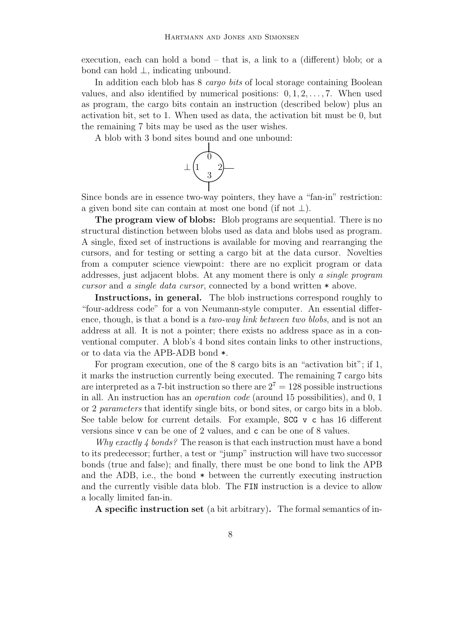execution, each can hold a bond – that is, a link to a (different) blob; or a bond can hold ⊥, indicating unbound.

In addition each blob has 8 cargo bits of local storage containing Boolean values, and also identified by numerical positions:  $0, 1, 2, \ldots, 7$ . When used as program, the cargo bits contain an instruction (described below) plus an activation bit, set to 1. When used as data, the activation bit must be 0, but the remaining 7 bits may be used as the user wishes.

A blob with 3 bond sites bound and one unbound:



Since bonds are in essence two-way pointers, they have a "fan-in" restriction: a given bond site can contain at most one bond (if not  $\perp$ ).

The program view of blobs: Blob programs are sequential. There is no structural distinction between blobs used as data and blobs used as program. A single, fixed set of instructions is available for moving and rearranging the cursors, and for testing or setting a cargo bit at the data cursor. Novelties from a computer science viewpoint: there are no explicit program or data addresses, just adjacent blobs. At any moment there is only a single program cursor and a single data cursor, connected by a bond written \* above.

Instructions, in general. The blob instructions correspond roughly to "four-address code" for a von Neumann-style computer. An essential difference, though, is that a bond is a *two-way link between two blobs*, and is not an address at all. It is not a pointer; there exists no address space as in a conventional computer. A blob's 4 bond sites contain links to other instructions, or to data via the APB-ADB bond \*.

For program execution, one of the 8 cargo bits is an "activation bit"; if 1, it marks the instruction currently being executed. The remaining 7 cargo bits are interpreted as a 7-bit instruction so there are  $2^7 = 128$  possible instructions in all. An instruction has an operation code (around 15 possibilities), and 0, 1 or 2 parameters that identify single bits, or bond sites, or cargo bits in a blob. See table below for current details. For example, SCG v c has 16 different versions since v can be one of 2 values, and c can be one of 8 values.

Why exactly 4 bonds? The reason is that each instruction must have a bond to its predecessor; further, a test or "jump" instruction will have two successor bonds (true and false); and finally, there must be one bond to link the APB and the ADB, i.e., the bond \* between the currently executing instruction and the currently visible data blob. The FIN instruction is a device to allow a locally limited fan-in.

A specific instruction set (a bit arbitrary). The formal semantics of in-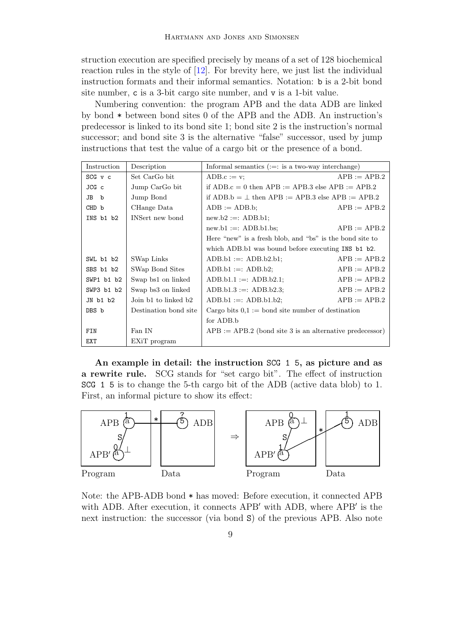struction execution are specified precisely by means of a set of 128 biochemical reaction rules in the style of [\[12\]](#page-13-3). For brevity here, we just list the individual instruction formats and their informal semantics. Notation: b is a 2-bit bond site number, c is a 3-bit cargo site number, and v is a 1-bit value.

Numbering convention: the program APB and the data ADB are linked by bond \* between bond sites 0 of the APB and the ADB. An instruction's predecessor is linked to its bond site 1; bond site 2 is the instruction's normal successor; and bond site 3 is the alternative "false" successor, used by jump instructions that test the value of a cargo bit or the presence of a bond.

| Instruction   | Description               | Informal semantics $(:=: is a two-way interchange)$        |                |
|---------------|---------------------------|------------------------------------------------------------|----------------|
| $SCG$ $v$ $c$ | Set CarGo bit             | $ADB.c := v;$                                              | $APB := APB.2$ |
| JCG c         | Jump CarGo bit            | if ADB.c = 0 then APB := APB.3 else APB := APB.2           |                |
| JB b          | Jump Bond                 | if ADB.b = $\perp$ then APB := APB.3 else APB := APB.2     |                |
| CHD b         | CHange Data               | $ADB := ADB.b;$                                            | $APB := APB.2$ |
| INS b1 b2     | INSert new bond           | $new.b2 :=: ADB.b1;$                                       |                |
|               |                           | $new.b1 :=: ADB.b1.bs;$                                    | $APB := APB.2$ |
|               |                           | Here "new" is a fresh blob, and "bs" is the bond site to   |                |
|               |                           | which ADB.b1 was bound before executing INS b1 b2.         |                |
| SWL b1 b2     | SWap Links                | $ADB.b1 :=: ADB.b2.b1;$                                    | $APB := APB.2$ |
| SBS b1 b2     | SWap Bond Sites           | $ADB.b1 :=: ADB.b2;$                                       | $APB := APB.2$ |
| SWP1 b1 b2    | Swap bs1 on linked        | $ADB.b1.1 :=: ADB.b2.1;$                                   | $APB := APB.2$ |
| SWP3 b1 b2    | Swap bs3 on linked        | $ADB.b1.3 :=: ADB.b2.3;$                                   | $APB := APB.2$ |
| JN b1 b2      | Join b1 to linked b2      | $ADB.b1 :=: ADB.b1.b2;$                                    | $APB := APB.2$ |
| DBS b         | Destination bond site     | Cargo bits $0,1 :=$ bond site number of destination        |                |
|               |                           | for ADB.b                                                  |                |
| <b>FIN</b>    | Fan IN                    | $APB := APB.2$ (bond site 3 is an alternative predecessor) |                |
| EXT           | EX <sub>i</sub> T program |                                                            |                |

An example in detail: the instruction SCG 1 5, as picture and as a rewrite rule. SCG stands for "set cargo bit". The effect of instruction SCG 1 5 is to change the 5-th cargo bit of the ADB (active data blob) to 1. First, an informal picture to show its effect:



Note: the APB-ADB bond \* has moved: Before execution, it connected APB with ADB. After execution, it connects APB' with ADB, where APB' is the next instruction: the successor (via bond S) of the previous APB. Also note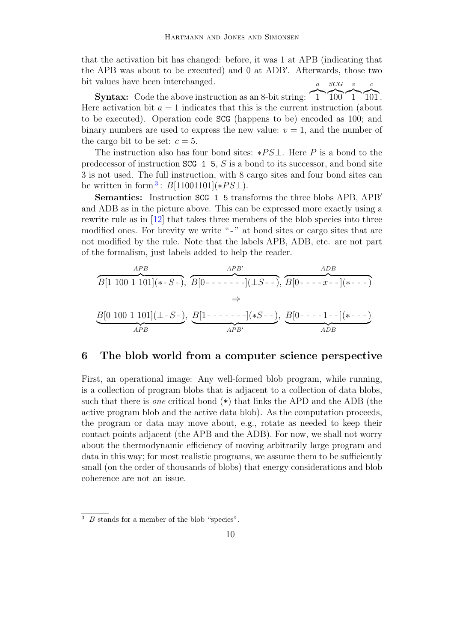that the activation bit has changed: before, it was 1 at APB (indicating that the APB was about to be executed) and 0 at ADB'. Afterwards, those two bit values have been interchanged. a SCG v c

**Syntax:** Code the above instruction as an 8-bit string:  $\begin{bmatrix} 1 \\ 1 \end{bmatrix}$   $\begin{bmatrix} 0 \\ 1 \end{bmatrix}$ . Here activation bit  $a = 1$  indicates that this is the current instruction (about to be executed). Operation code SCG (happens to be) encoded as 100; and binary numbers are used to express the new value:  $v = 1$ , and the number of the cargo bit to be set:  $c = 5$ .

The instruction also has four bond sites:  $*PS\perp$ . Here P is a bond to the predecessor of instruction  $SCG$  1 5, S is a bond to its successor, and bond site 3 is not used. The full instruction, with 8 cargo sites and four bond sites can be written in form<sup>[3](#page-9-1)</sup>:  $B[11001101](*PS \perp)$ .

Semantics: Instruction SCG 1 5 transforms the three blobs APB, APB<sup>'</sup> and ADB as in the picture above. This can be expressed more exactly using a rewrite rule as in [\[12\]](#page-13-3) that takes three members of the blob species into three modified ones. For brevity we write "-" at bond sites or cargo sites that are not modified by the rule. Note that the labels APB, ADB, etc. are not part of the formalism, just labels added to help the reader.

$$
B[1\ 100\ 1\ 101](*-S^-),\ B[0-----]-](\bot S--),\ B[0----x--](*--)
$$
  
\n
$$
\Rightarrow
$$
  
\n
$$
B[0\ 100\ 1\ 101](\bot-S-),\ B[1-----]-](*S--),\ B[0---1--](*--)
$$
  
\n
$$
APB
$$
  
\n
$$
APB
$$

### <span id="page-9-0"></span>6 The blob world from a computer science perspective

First, an operational image: Any well-formed blob program, while running, is a collection of program blobs that is adjacent to a collection of data blobs, such that there is *one* critical bond  $(*)$  that links the APD and the ADB (the active program blob and the active data blob). As the computation proceeds, the program or data may move about, e.g., rotate as needed to keep their contact points adjacent (the APB and the ADB). For now, we shall not worry about the thermodynamic efficiency of moving arbitrarily large program and data in this way; for most realistic programs, we assume them to be sufficiently small (on the order of thousands of blobs) that energy considerations and blob coherence are not an issue.

<span id="page-9-1"></span>B stands for a member of the blob "species".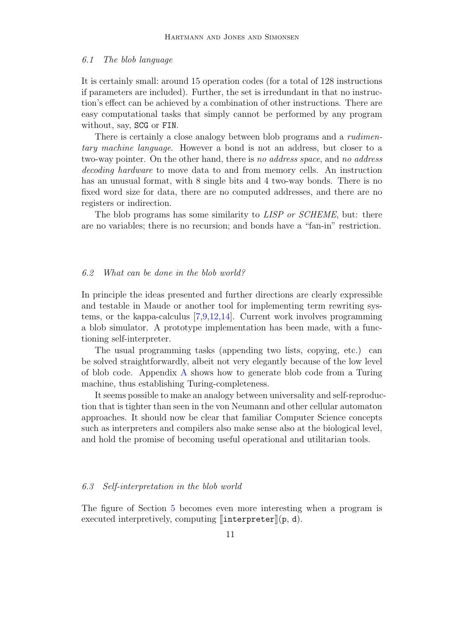### 6.1 The blob language

It is certainly small: around 15 operation codes (for a total of 128 instructions if parameters are included). Further, the set is irredundant in that no instruction's effect can be achieved by a combination of other instructions. There are easy computational tasks that simply cannot be performed by any program without, say, SCG or FIN.

There is certainly a close analogy between blob programs and a rudimentary machine language. However a bond is not an address, but closer to a two-way pointer. On the other hand, there is no address space, and no address decoding hardware to move data to and from memory cells. An instruction has an unusual format, with 8 single bits and 4 two-way bonds. There is no fixed word size for data, there are no computed addresses, and there are no registers or indirection.

The blob programs has some similarity to *LISP or SCHEME*, but: there are no variables; there is no recursion; and bonds have a "fan-in" restriction.

### 6.2 What can be done in the blob world?

In principle the ideas presented and further directions are clearly expressible and testable in Maude or another tool for implementing term rewriting systems, or the kappa-calculus [\[7,](#page-13-0)[9,](#page-13-14)[12,](#page-13-3)[14\]](#page-13-13). Current work involves programming a blob simulator. A prototype implementation has been made, with a functioning self-interpreter.

The usual programming tasks (appending two lists, copying, etc.) can be solved straightforwardly, albeit not very elegantly because of the low level of blob code. Appendix [A](#page-15-0) shows how to generate blob code from a Turing machine, thus establishing Turing-completeness.

It seems possible to make an analogy between universality and self-reproduction that is tighter than seen in the von Neumann and other cellular automaton approaches. It should now be clear that familiar Computer Science concepts such as interpreters and compilers also make sense also at the biological level, and hold the promise of becoming useful operational and utilitarian tools.

#### 6.3 Self-interpretation in the blob world

The figure of Section [5](#page-5-0) becomes even more interesting when a program is executed interpretively, computing  $\lceil$ **interpreter** $\rceil$ (p, d).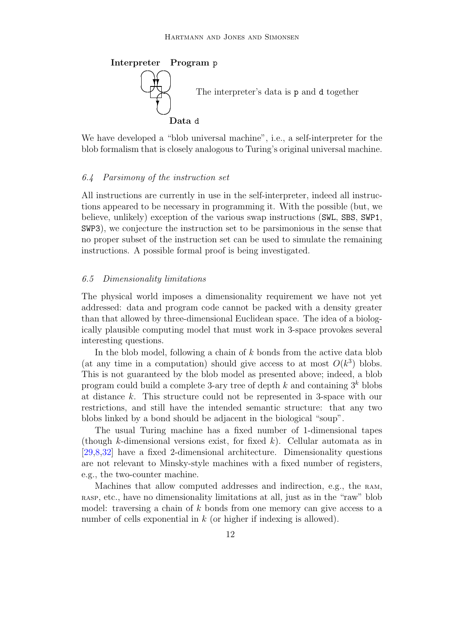

We have developed a "blob universal machine", i.e., a self-interpreter for the blob formalism that is closely analogous to Turing's original universal machine.

### 6.4 Parsimony of the instruction set

All instructions are currently in use in the self-interpreter, indeed all instructions appeared to be necessary in programming it. With the possible (but, we believe, unlikely) exception of the various swap instructions (SWL, SBS, SWP1, SWP3), we conjecture the instruction set to be parsimonious in the sense that no proper subset of the instruction set can be used to simulate the remaining instructions. A possible formal proof is being investigated.

### 6.5 Dimensionality limitations

The physical world imposes a dimensionality requirement we have not yet addressed: data and program code cannot be packed with a density greater than that allowed by three-dimensional Euclidean space. The idea of a biologically plausible computing model that must work in 3-space provokes several interesting questions.

In the blob model, following a chain of k bonds from the active data blob (at any time in a computation) should give access to at most  $O(k^3)$  blobs. This is not guaranteed by the blob model as presented above; indeed, a blob program could build a complete 3-ary tree of depth  $k$  and containing  $3^k$  blobs at distance k. This structure could not be represented in 3-space with our restrictions, and still have the intended semantic structure: that any two blobs linked by a bond should be adjacent in the biological "soup".

The usual Turing machine has a fixed number of 1-dimensional tapes (though k-dimensional versions exist, for fixed k). Cellular automata as in [\[29,](#page-14-1)[8](#page-13-1)[,32\]](#page-14-2) have a fixed 2-dimensional architecture. Dimensionality questions are not relevant to Minsky-style machines with a fixed number of registers, e.g., the two-counter machine.

Machines that allow computed addresses and indirection, e.g., the ram, rasp, etc., have no dimensionality limitations at all, just as in the "raw" blob model: traversing a chain of k bonds from one memory can give access to a number of cells exponential in  $k$  (or higher if indexing is allowed).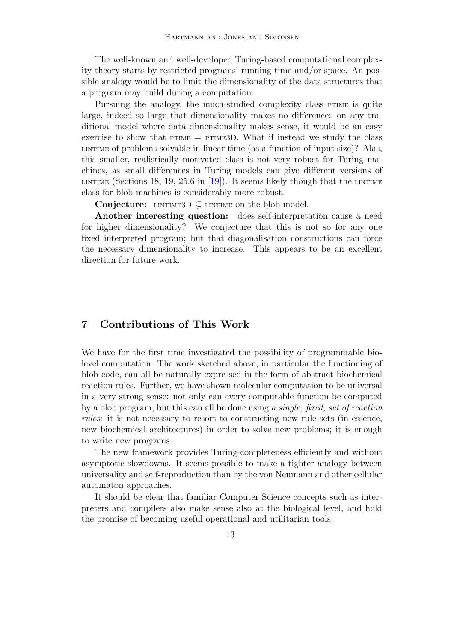The well-known and well-developed Turing-based computational complexity theory starts by restricted programs' running time and/or space. An possible analogy would be to limit the dimensionality of the data structures that a program may build during a computation.

Pursuing the analogy, the much-studied complexity class prime is quite large, indeed so large that dimensionality makes no difference: on any traditional model where data dimensionality makes sense, it would be an easy exercise to show that  $PTIME = PTME3D$ . What if instead we study the class lintime of problems solvable in linear time (as a function of input size)? Alas, this smaller, realistically motivated class is not very robust for Turing machines, as small differences in Turing models can give different versions of LINTIME (Sections 18, 19, 25.6 in [\[19\]](#page-13-4)). It seems likely though that the LINTIME class for blob machines is considerably more robust.

**Conjecture:** LINTIME3D  $\subseteq$  LINTIME on the blob model.

Another interesting question: does self-interpretation cause a need for higher dimensionality? We conjecture that this is not so for any one fixed interpreted program; but that diagonalisation constructions can force the necessary dimensionality to increase. This appears to be an excellent direction for future work.

# <span id="page-12-0"></span>7 Contributions of This Work

We have for the first time investigated the possibility of programmable biolevel computation. The work sketched above, in particular the functioning of blob code, can all be naturally expressed in the form of abstract biochemical reaction rules. Further, we have shown molecular computation to be universal in a very strong sense: not only can every computable function be computed by a blob program, but this can all be done using a single, fixed, set of reaction rules: it is not necessary to resort to constructing new rule sets (in essence, new biochemical architectures) in order to solve new problems; it is enough to write new programs.

The new framework provides Turing-completeness efficiently and without asymptotic slowdowns. It seems possible to make a tighter analogy between universality and self-reproduction than by the von Neumann and other cellular automaton approaches.

It should be clear that familiar Computer Science concepts such as interpreters and compilers also make sense also at the biological level, and hold the promise of becoming useful operational and utilitarian tools.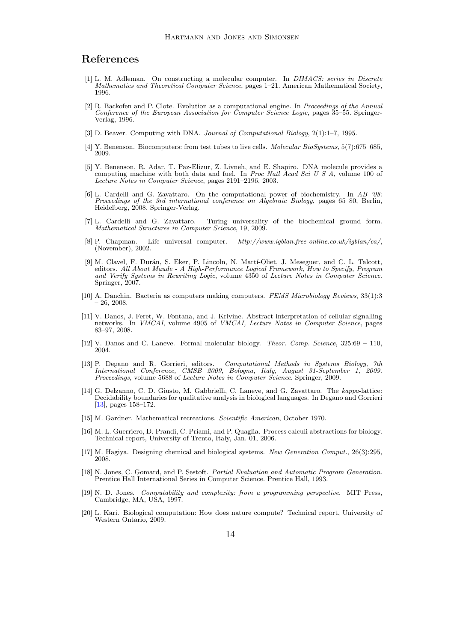### References

- <span id="page-13-6"></span>[1] L. M. Adleman. On constructing a molecular computer. In DIMACS: series in Discrete Mathematics and Theoretical Computer Science, pages 1-21. American Mathematical Society, 1996.
- [2] R. Backofen and P. Clote. Evolution as a computational engine. In Proceedings of the Annual Conference of the European Association for Computer Science Logic, pages 35–55. Springer-Verlag, 1996.
- <span id="page-13-7"></span>[3] D. Beaver. Computing with DNA. Journal of Computational Biology, 2(1):1–7, 1995.
- [4] Y. Benenson. Biocomputers: from test tubes to live cells. Molecular BioSystems, 5(7):675–685, 2009.
- <span id="page-13-11"></span>[5] Y. Benenson, R. Adar, T. Paz-Elizur, Z. Livneh, and E. Shapiro. DNA molecule provides a computing machine with both data and fuel. In Proc Natl Acad Sci U S A, volume 100 of Lecture Notes in Computer Science, pages 2191–2196, 2003.
- [6] L. Cardelli and G. Zavattaro. On the computational power of biochemistry. In AB '08: Proceedings of the 3rd international conference on Algebraic Biology, pages 65–80, Berlin, Heidelberg, 2008. Springer-Verlag.
- <span id="page-13-0"></span>[7] L. Cardelli and G. Zavattaro. Turing universality of the biochemical ground form. Mathematical Structures in Computer Science, 19, 2009.
- <span id="page-13-1"></span>[8] P. Chapman. Life universal computer. http://www.igblan.free-online.co.uk/igblan/ca/, (November), 2002.
- <span id="page-13-14"></span>[9] M. Clavel, F. Durán, S. Eker, P. Lincoln, N. Martí-Oliet, J. Meseguer, and C. L. Talcott, editors. All About Maude - A High-Performance Logical Framework, How to Specify, Program and Verify Systems in Rewriting Logic, volume 4350 of Lecture Notes in Computer Science. Springer, 2007.
- <span id="page-13-2"></span>[10] A. Danchin. Bacteria as computers making computers. FEMS Microbiology Reviews, 33(1):3 – 26, 2008.
- <span id="page-13-8"></span>[11] V. Danos, J. Feret, W. Fontana, and J. Krivine. Abstract interpretation of cellular signalling networks. In VMCAI, volume 4905 of VMCAI, Lecture Notes in Computer Science, pages 83–97, 2008.
- <span id="page-13-3"></span>[12] V. Danos and C. Laneve. Formal molecular biology. Theor. Comp. Science, 325:69 – 110, 2004.
- <span id="page-13-15"></span>[13] P. Degano and R. Gorrieri, editors. Computational Methods in Systems Biology, 7th International Conference, CMSB 2009, Bologna, Italy, August 31-September 1, 2009. Proceedings, volume 5688 of Lecture Notes in Computer Science. Springer, 2009.
- <span id="page-13-13"></span>[14] G. Delzanno, C. D. Giusto, M. Gabbrielli, C. Laneve, and G. Zavattaro. The kappa-lattice: Decidability boundaries for qualitative analysis in biological languages. In Degano and Gorrieri [\[13\]](#page-13-15), pages 158–172.
- <span id="page-13-5"></span>[15] M. Gardner. Mathematical recreations. Scientific American, October 1970.
- [16] M. L. Guerriero, D. Prandi, C. Priami, and P. Quaglia. Process calculi abstractions for biology. Technical report, University of Trento, Italy, Jan. 01, 2006.
- <span id="page-13-9"></span>[17] M. Hagiya. Designing chemical and biological systems. New Generation Comput., 26(3):295, 2008.
- <span id="page-13-12"></span>[18] N. Jones, C. Gomard, and P. Sestoft. Partial Evaluation and Automatic Program Generation. Prentice Hall International Series in Computer Science. Prentice Hall, 1993.
- <span id="page-13-4"></span>[19] N. D. Jones. Computability and complexity: from a programming perspective. MIT Press, Cambridge, MA, USA, 1997.
- <span id="page-13-10"></span>[20] L. Kari. Biological computation: How does nature compute? Technical report, University of Western Ontario, 2009.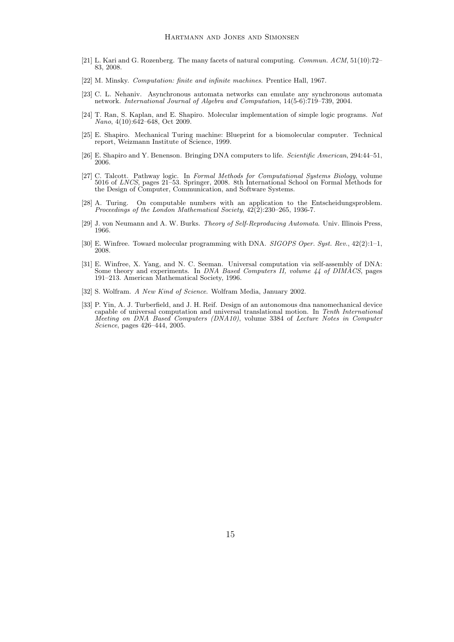- <span id="page-14-6"></span>[21] L. Kari and G. Rozenberg. The many facets of natural computing. Commun. ACM, 51(10):72– 83, 2008.
- <span id="page-14-4"></span>[22] M. Minsky. Computation: finite and infinite machines. Prentice Hall, 1967.
- <span id="page-14-5"></span>[23] C. L. Nehaniv. Asynchronous automata networks can emulate any synchronous automata network. International Journal of Algebra and Computation, 14(5-6):719–739, 2004.
- [24] T. Ran, S. Kaplan, and E. Shapiro. Molecular implementation of simple logic programs. Nat Nano, 4(10):642–648, Oct 2009.
- <span id="page-14-0"></span>[25] E. Shapiro. Mechanical Turing machine: Blueprint for a biomolecular computer. Technical report, Weizmann Institute of Science, 1999.
- <span id="page-14-7"></span>[26] E. Shapiro and Y. Benenson. Bringing DNA computers to life. Scientific American, 294:44–51, 2006.
- [27] C. Talcott. Pathway logic. In Formal Methods for Computational Systems Biology, volume 5016 of LNCS, pages 21–53. Springer, 2008. 8th International School on Formal Methods for the Design of Computer, Communication, and Software Systems.
- [28] A. Turing. On computable numbers with an application to the Entscheidungsproblem. Proceedings of the London Mathematical Society,  $42(2):230-265$ , 1936-7.
- <span id="page-14-1"></span>[29] J. von Neumann and A. W. Burks. Theory of Self-Reproducing Automata. Univ. Illinois Press, 1966.
- <span id="page-14-8"></span>[30] E. Winfree. Toward molecular programming with DNA. *SIGOPS Oper. Syst. Rev.*, 42(2):1–1, 2008.
- <span id="page-14-9"></span>[31] E. Winfree, X. Yang, and N. C. Seeman. Universal computation via self-assembly of DNA: Some theory and experiments. In DNA Based Computers II, volume 44 of DIMACS, pages 191–213. American Mathematical Society, 1996.
- <span id="page-14-2"></span>[32] S. Wolfram. A New Kind of Science. Wolfram Media, January 2002.
- <span id="page-14-3"></span>[33] P. Yin, A. J. Turberfield, and J. H. Reif. Design of an autonomous dna nanomechanical device capable of universal computation and universal translational motion. In Tenth International Meeting on DNA Based Computers (DNA10), volume 3384 of Lecture Notes in Computer Science, pages 426–444, 2005.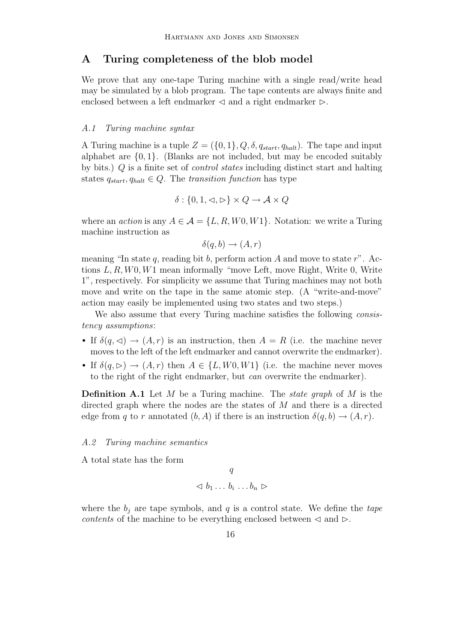### <span id="page-15-0"></span>A Turing completeness of the blob model

We prove that any one-tape Turing machine with a single read/write head may be simulated by a blob program. The tape contents are always finite and enclosed between a left endmarker  $\triangleleft$  and a right endmarker  $\triangleright$ .

### A.1 Turing machine syntax

A Turing machine is a tuple  $Z = (\{0, 1\}, Q, \delta, q_{start}, q_{halt})$ . The tape and input alphabet are  $\{0, 1\}$ . (Blanks are not included, but may be encoded suitably by bits.) Q is a finite set of control states including distinct start and halting states  $q_{start}, q_{halt} \in Q$ . The transition function has type

$$
\delta: \{0, 1, \lhd, \rhd\} \times Q \to \mathcal{A} \times Q
$$

where an *action* is any  $A \in \mathcal{A} = \{L, R, W0, W1\}$ . Notation: we write a Turing machine instruction as

$$
\delta(q, b) \to (A, r)
$$

meaning "In state q, reading bit b, perform action A and move to state  $r$ ". Actions  $L, R, W0, W1$  mean informally "move Left, move Right, Write 0, Write 1", respectively. For simplicity we assume that Turing machines may not both move and write on the tape in the same atomic step. (A "write-and-move" action may easily be implemented using two states and two steps.)

We also assume that every Turing machine satisfies the following *consis*tency assumptions:

- If  $\delta(q, \triangleleft) \to (A, r)$  is an instruction, then  $A = R$  (i.e. the machine never moves to the left of the left endmarker and cannot overwrite the endmarker).
- If  $\delta(q, \triangleright) \to (A, r)$  then  $A \in \{L, W0, W1\}$  (i.e. the machine never moves to the right of the right endmarker, but can overwrite the endmarker).

**Definition A.1** Let  $M$  be a Turing machine. The *state graph* of  $M$  is the directed graph where the nodes are the states of  $M$  and there is a directed edge from q to r annotated  $(b, A)$  if there is an instruction  $\delta(q, b) \rightarrow (A, r)$ .

### A.2 Turing machine semantics

A total state has the form

 $q$  $\lhd b_1 \ldots b_i \ldots b_n \rhd$ 

where the  $b_i$  are tape symbols, and q is a control state. We define the tape contents of the machine to be everything enclosed between  $\triangleleft$  and  $\triangleright$ .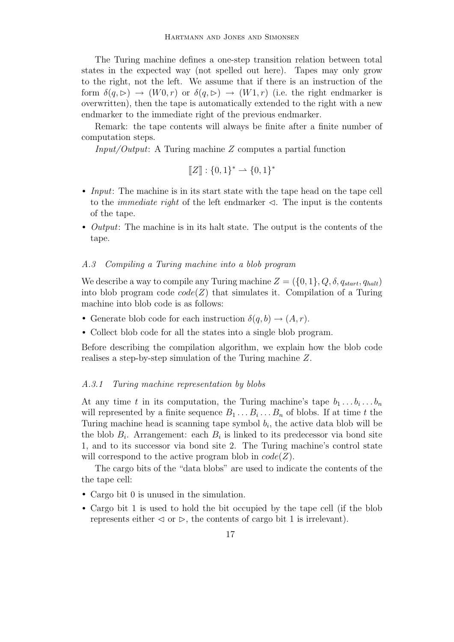The Turing machine defines a one-step transition relation between total states in the expected way (not spelled out here). Tapes may only grow to the right, not the left. We assume that if there is an instruction of the form  $\delta(q, \rhd) \to (W0, r)$  or  $\delta(q, \rhd) \to (W1, r)$  (i.e. the right endmarker is overwritten), then the tape is automatically extended to the right with a new endmarker to the immediate right of the previous endmarker.

Remark: the tape contents will always be finite after a finite number of computation steps.

 $Input/Output: A Turing machine Z computes a partial function$ 

$$
[[Z] : \{0,1\}^* \to \{0,1\}^*
$$

- *Input*: The machine is in its start state with the tape head on the tape cell to the *immediate right* of the left endmarker  $\triangleleft$ . The input is the contents of the tape.
- *Output*: The machine is in its halt state. The output is the contents of the tape.

#### A.3 Compiling a Turing machine into a blob program

We describe a way to compile any Turing machine  $Z = \{ \{0, 1\}, Q, \delta, q_{start}, q_{halt} \}$ into blob program code  $code(Z)$  that simulates it. Compilation of a Turing machine into blob code is as follows:

- Generate blob code for each instruction  $\delta(q, b) \rightarrow (A, r)$ .
- Collect blob code for all the states into a single blob program.

Before describing the compilation algorithm, we explain how the blob code realises a step-by-step simulation of the Turing machine Z.

#### A.3.1 Turing machine representation by blobs

At any time t in its computation, the Turing machine's tape  $b_1 \ldots b_i \ldots b_n$ will represented by a finite sequence  $B_1 \ldots B_i \ldots B_n$  of blobs. If at time t the Turing machine head is scanning tape symbol  $b_i$ , the active data blob will be the blob  $B_i$ . Arrangement: each  $B_i$  is linked to its predecessor via bond site 1, and to its successor via bond site 2. The Turing machine's control state will correspond to the active program blob in  $code(Z)$ .

The cargo bits of the "data blobs" are used to indicate the contents of the the tape cell:

- Cargo bit 0 is unused in the simulation.
- Cargo bit 1 is used to hold the bit occupied by the tape cell (if the blob represents either  $\leq$  or  $\triangleright$ , the contents of cargo bit 1 is irrelevant).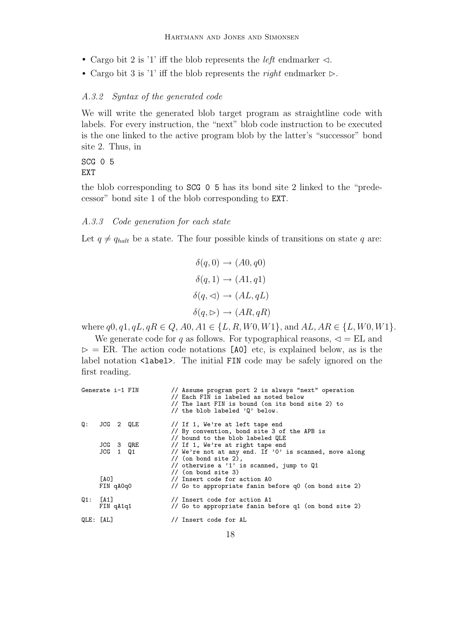- Cargo bit 2 is '1' iff the blob represents the *left* endmarker  $\triangleleft$ .
- Cargo bit 3 is '1' iff the blob represents the *right* endmarker  $\triangleright$ .

### A.3.2 Syntax of the generated code

We will write the generated blob target program as straightline code with labels. For every instruction, the "next" blob code instruction to be executed is the one linked to the active program blob by the latter's "successor" bond site 2. Thus, in

### SCG 0 5 EXT

the blob corresponding to SCG 0 5 has its bond site 2 linked to the "predecessor" bond site 1 of the blob corresponding to EXT.

### <span id="page-17-0"></span>A.3.3 Code generation for each state

Let  $q \neq q_{halt}$  be a state. The four possible kinds of transitions on state q are:

$$
\delta(q,0) \to (A0,q0)
$$

$$
\delta(q,1) \to (A1,q1)
$$

$$
\delta(q,\lhd) \to (AL,qL)
$$

$$
\delta(q,\rhd) \to (AR,qR)
$$

where  $q0, q1, qL, qR \in Q$ ,  $A0, A1 \in \{L, R, W0, W1\}$ , and  $AL, AR \in \{L, W0, W1\}$ .

We generate code for q as follows. For typographical reasons,  $\triangleleft = EL$  and  $\triangleright$  = ER. The action code notations [A0] etc, is explained below, as is the label notation  $\langle$ **label**>. The initial FIN code may be safely ignored on the first reading.

|           | Generate i-1 FIN      |  | // Assume program port 2 is always "next" operation<br>// Each FIN is labeled as noted below<br>// The last FIN is bound (on its bond site 2) to<br>// the blob labeled $'Q'$ below.              |
|-----------|-----------------------|--|---------------------------------------------------------------------------------------------------------------------------------------------------------------------------------------------------|
| Q:        | JCG 2 QLE             |  | // If 1, We're at left tape end<br>// By convention, bond site 3 of the APB is<br>// bound to the blob labeled QLE                                                                                |
|           | JCG 3 QRE<br>JCG 1 Q1 |  | // If 1, We're at right tape end<br>// We're not at any end. If '0' is scanned, move along<br>// (on bond site 2),<br>// otherwise a '1' is scanned, jump to Q1<br>$\frac{1}{2}$ (on bond site 3) |
|           | [AO]<br>FIN qA0q0     |  | // Insert code for action AO<br>// Go to appropriate fanin before q0 (on bond site 2)                                                                                                             |
| Q1:       | [A1]<br>FIN gA1g1     |  | // Insert code for action A1<br>// Go to appropriate fanin before q1 (on bond site 2)                                                                                                             |
| QLE: [AL] |                       |  | // Insert code for AL                                                                                                                                                                             |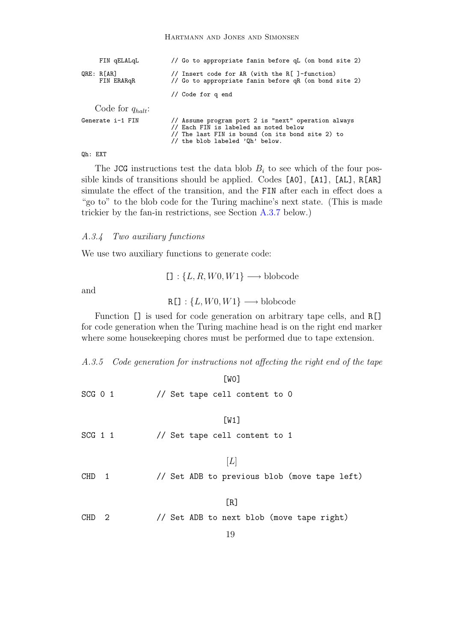#### Hartmann and Jones and Simonsen

| FIN gELALgL              | // Go to appropriate fanin before qL (on bond site 2)                                                                                                                               |
|--------------------------|-------------------------------------------------------------------------------------------------------------------------------------------------------------------------------------|
| QRE: R[AR]<br>FIN ERARGR | // Insert code for AR (with the R[ ]-function)<br>// Go to appropriate fanin before $qR$ (on bond site 2)                                                                           |
|                          | // Code for q end                                                                                                                                                                   |
| Code for $q_{halt}$ :    |                                                                                                                                                                                     |
| Generate i-1 FIN         | // Assume program port 2 is "next" operation always<br>// Each FIN is labeled as noted below<br>// The last FIN is bound (on its bond site 2) to<br>// the blob labeled 'Qh' below. |

Qh: EXT

The JCG instructions test the data blob  $B_i$  to see which of the four possible kinds of transitions should be applied. Codes [A0], [A1], [AL], R[AR] simulate the effect of the transition, and the FIN after each in effect does a "go to" to the blob code for the Turing machine's next state. (This is made trickier by the fan-in restrictions, see Section [A.3.7](#page-19-0) below.)

### A.3.4 Two auxiliary functions

We use two auxiliary functions to generate code:

 $[] : \{L, R, W0, W1\} \longrightarrow \text{blobcode}$ 

and

 $R[\] : \{L, W0, W1\} \longrightarrow \text{bloboode}$ 

Function  $\Box$  is used for code generation on arbitrary tape cells, and R $\Box$ for code generation when the Turing machine head is on the right end marker where some housekeeping chores must be performed due to tape extension.

A.3.5 Code generation for instructions not affecting the right end of the tape

[W0]

SCG 0 1 // Set tape cell content to 0

```
[W1]
```
SCG 1 1 // Set tape cell content to 1

 $[L]$ 

CHD 1 // Set ADB to previous blob (move tape left)

[R]

CHD 2 // Set ADB to next blob (move tape right)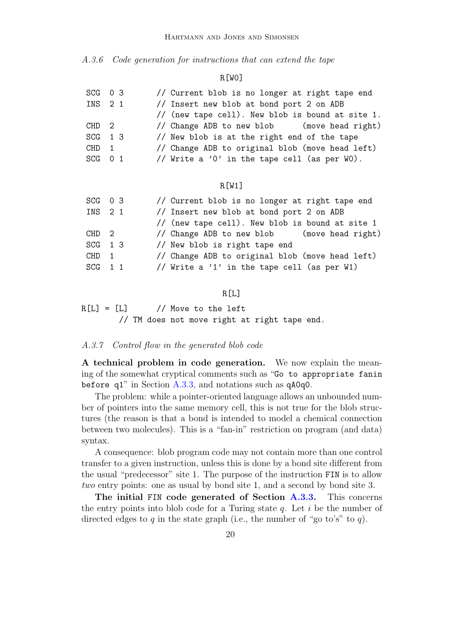A.3.6 Code generation for instructions that can extend the tape

#### R[W0]

| $SCG$ 0 3        | // Current blob is no longer at right tape end   |
|------------------|--------------------------------------------------|
| INS 2 1          | // Insert new blob at bond port 2 on ADB         |
|                  | // (new tape cell). New blob is bound at site 1. |
| CHD <sub>2</sub> | // Change ADB to new blob (move head right)      |
| $SCG$ 1 3        | // New blob is at the right end of the tape      |
| CHD 1            | // Change ADB to original blob (move head left)  |
| $SCG$ 0 1        | // Write a '0' in the tape cell (as per $W0$ ).  |

#### R[W1]

| $SCG$ 0 3        | // Current blob is no longer at right tape end  |
|------------------|-------------------------------------------------|
| INS 2 1          | // Insert new blob at bond port 2 on ADB        |
|                  | // (new tape cell). New blob is bound at site 1 |
| CHD <sub>2</sub> | // Change ADB to new blob (move head right)     |
| SCG 13           | // New blob is right tape end                   |
| CHD 1            | // Change ADB to original blob (move head left) |
| $SCG$ 1 1        | // Write a '1' in the tape cell (as per W1)     |

### R[L]

 $R[L] = [L]$  // Move to the left // TM does not move right at right tape end.

### <span id="page-19-0"></span>A.3.7 Control flow in the generated blob code

A technical problem in code generation. We now explain the meaning of the somewhat cryptical comments such as "Go to appropriate fanin before q1" in Section [A.3.3,](#page-17-0) and notations such as qA0q0.

The problem: while a pointer-oriented language allows an unbounded number of pointers into the same memory cell, this is not true for the blob structures (the reason is that a bond is intended to model a chemical connection between two molecules). This is a "fan-in" restriction on program (and data) syntax.

A consequence: blob program code may not contain more than one control transfer to a given instruction, unless this is done by a bond site different from the usual "predecessor" site 1. The purpose of the instruction FIN is to allow two entry points: one as usual by bond site 1, and a second by bond site 3.

The initial FIN code generated of Section [A.3.3.](#page-17-0) This concerns the entry points into blob code for a Turing state  $q$ . Let  $i$  be the number of directed edges to q in the state graph (i.e., the number of "go to's" to q).